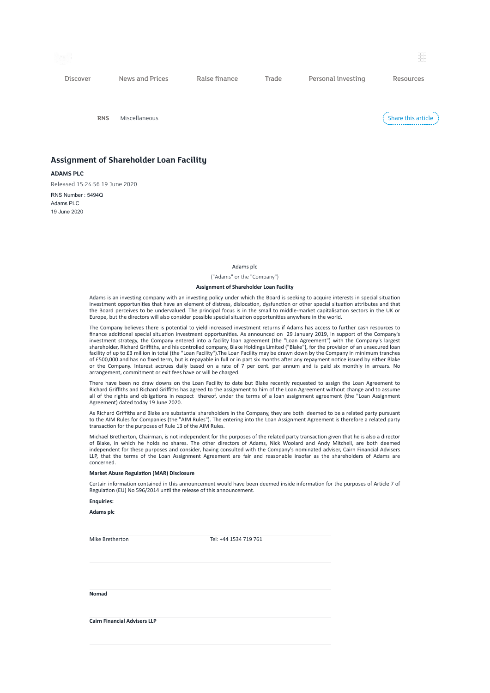

Discover News and Prices Raise finance Trade Personal investing Resources

RNS Miscellaneous

Share this article

## Assignment of Shareholder Loan Facility

ADAMS PLC

Released 15:24:56 19 June 2020 RNS Number : 5494Q Adams PLC 19 June 2020

## Adams plc

("Adams" or the "Company")

## Assignment of Shareholder Loan Facility

Adams is an investing company with an investing policy under which the Board is seeking to acquire interests in special situation investment opportunities that have an element of distress, dislocation, dysfunction or other special situation attributes and that the Board perceives to be undervalued. The principal focus is in the small to middle-market capitalisation sectors in the UK or Europe, but the directors will also consider possible special situation opportunities anywhere in the world.

The Company believes there is potential to yield increased investment returns if Adams has access to further cash resources to finance additional special situation investment opportunities. As announced on 29 January 2019, in support of the Company's<br>investment strategy, the Company entered into a facility loan agreement (the "Loan Agreement") wit shareholder, Richard Griffiths, and his controlled company, Blake Holdings Limited ("Blake"), for the provision of an unsecured loan facility of up to £3 million in total (the "Loan Facility").The Loan Facility may be drawn down by the Company in minimum tranches of £500,000 and has no fixed term, but is repayable in full or in part six months after any repayment notice issued by either Blake or the Company. Interest accrues daily based on a rate of 7 per cent. per annum and is paid six monthly in arrears. No arrangement, commitment or exit fees have or will be charged.

There have been no draw downs on the Loan Facility to date but Blake recently requested to assign the Loan Agreement to Richard Griffiths and Richard Griffiths has agreed to the assignment to him of the Loan Agreement without change and to assume all of the rights and obligations in respect thereof, under the terms of a loan assignment agreement (the "Loan Assignment Agreement) dated today 19 June 2020.

As Richard Griffiths and Blake are substantial shareholders in the Company, they are both deemed to be a related party pursuant to the AIM Rules for Companies (the "AIM Rules"). The entering into the Loan Assignment Agreement is therefore a related party transaction for the purposes of Rule 13 of the AIM Rules.

Michael Bretherton, Chairman, is not independent for the purposes of the related party transaction given that he is also a director of Blake, in which he holds no shares. The other directors of Adams, Nick Woolard and Andy Mitchell, are both deemed independent for these purposes and consider, having consulted with the Company's nominated adviser, Cairn Financial Advisers LLP, that the terms of the Loan Assignment Agreement are fair and reasonable insofar as the shareholders of Adams are concerned.

## Market Abuse Regulation (MAR) Disclosure

Certain information contained in this announcement would have been deemed inside information for the purposes of Article 7 of Regulation (EU) No 596/2014 until the release of this announcement.

Enquiries:

Adams plc

Mike Bretherton Tel: +44 1534 719 761

Nomad

Cairn Financial Advisers LLP

堀